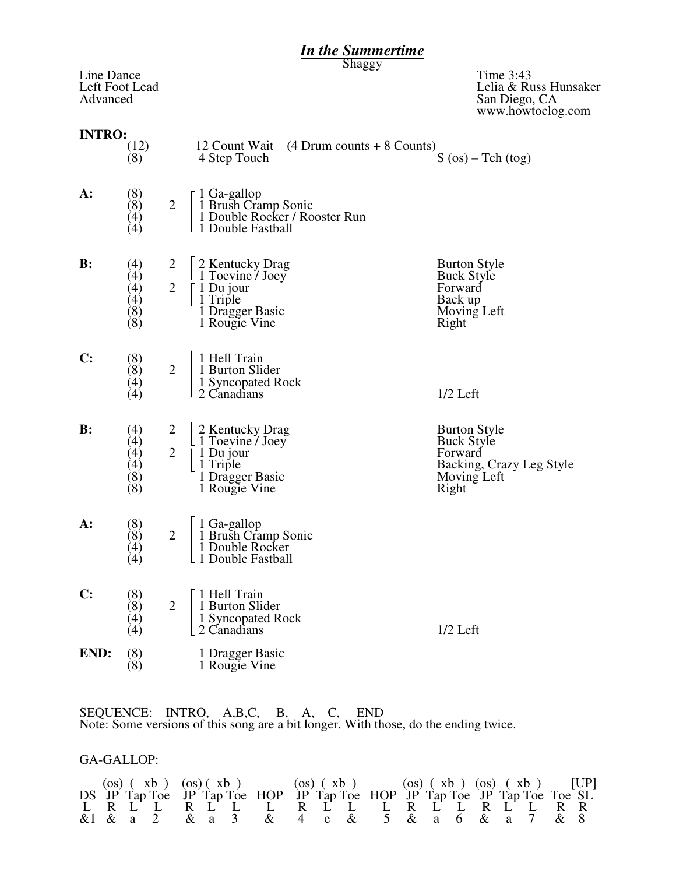# *In the Summertime*

Shaggy

| Line Dance<br>Advanced | Left Foot Lead                                                 |                |                                                                                                          | Time 3:43<br>Lelia & Russ Hunsaker<br>San Diego, CA<br>www.howtoclog.com                                |
|------------------------|----------------------------------------------------------------|----------------|----------------------------------------------------------------------------------------------------------|---------------------------------------------------------------------------------------------------------|
| <b>INTRO:</b>          | (12)<br>(8)                                                    |                | 12 Count Wait<br>$(4)$ Drum counts + 8 Counts)<br>4 Step Touch                                           | $S (os) - Tch (tog)$                                                                                    |
| А:                     | (8)<br>(8)<br>(4)<br>(4)                                       | $\overline{2}$ | 1 Ga-gallop<br>1 Brush Cramp Sonic<br>1 Double Rocker / Rooster Run<br>L 1 Double Fastball               |                                                                                                         |
| B:                     | (4)<br>(4)<br>(4)<br>$\begin{pmatrix} 4 \ 8 \ 6 \end{pmatrix}$ | $\overline{2}$ | 2 Kentucky Drag<br>$\perp$ 1 Toevine / Joey<br>1 Du jour<br>1 Triple<br>1 Dragger Basic<br>1 Rougie Vine | <b>Burton Style</b><br><b>Buck Style</b><br>Forward<br>Back up<br>Moving Left<br>Right                  |
| $\mathbf{C}$ :         | (8)<br>(8)<br>(4)<br>(4)                                       | $\overline{2}$ | 1 Hell Train<br>1 Burton Slider<br>1 Syncopated Rock<br>2 Canadians                                      | $1/2$ Left                                                                                              |
| B:                     | (4)<br>(4)<br>(4)<br>(4)<br>(8)<br>(8)                         | $\overline{2}$ | 2 Kentucky Drag<br>$\perp$ 1 Toevine / Joey<br>1 Du jour<br>1 Triple<br>1 Dragger Basic<br>1 Rougie Vine | <b>Burton Style</b><br><b>Buck Style</b><br>Forward<br>Backing, Crazy Leg Style<br>Moving Left<br>Right |
| А:                     | (8)<br>(8)<br>$\left( 4\right)$<br>(4)                         | $\overline{2}$ | 1 Ga-gallop<br>1 Brush Cramp Sonic<br>1 Double Rocker<br>1 Double Fastball                               |                                                                                                         |
| $\mathbf{C}$ :         | (8)<br>(8)<br>$\left( 4\right)$<br>(4)                         | $\overline{2}$ | 1 Hell Train<br>1 Burton Slider<br>1 Syncopated Rock<br>2 Canadians                                      | $1/2$ Left                                                                                              |
| END:                   | $\binom{8}{8}$                                                 |                | 1 Dragger Basic<br>1 Rougie Vine                                                                         |                                                                                                         |
|                        |                                                                |                |                                                                                                          |                                                                                                         |

SEQUENCE: INTRO, A,B,C, B, A, C, END Note: Some versions of this song are a bit longer. With those, do the ending twice.

### GA-GALLOP:

|  |  |  | (os) $(xb)$ $(xb)$ $(xc)$ $(xd)$ $(xe)$ $(xe)$ $(xe)$ $(xe)$ $(xe)$ $(xe)$ $(xe)$ $(xf)$ $[UP]$ |  |  |  |  |  |  |
|--|--|--|-------------------------------------------------------------------------------------------------|--|--|--|--|--|--|
|  |  |  | DS JP Tap Toe JP Tap Toe HOP JP Tap Toe HOP JP Tap Toe JP Tap Toe Toe SL                        |  |  |  |  |  |  |
|  |  |  | L R L L L L L L L L L L L L L L R R                                                             |  |  |  |  |  |  |
|  |  |  | &1 & a 2 & a 3 & 4 e & 5 & a 6 & a 7 & 8                                                        |  |  |  |  |  |  |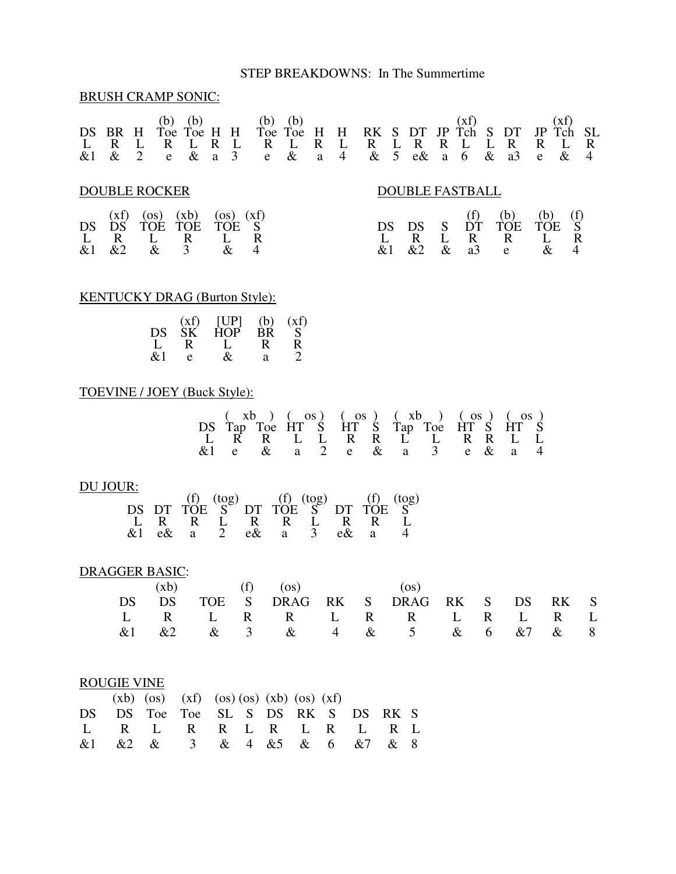#### STEP BREAKDOWNS: In The Summertime

#### BRUSH CRAMP SONIC:

| DS<br>$&$ 1 | R<br>$\&$      | H<br>$\overline{2}$ | b)<br>Toe<br>R<br>e     | (b)<br>Toe H<br>$\&$         | R<br>a | H<br>3      | (b)<br>Toe<br>R<br>e                 | (b)<br>Toe<br>& | H<br>$\mathbf R$<br>a | Н<br>$\overline{4}$ | RK<br>R<br>$\&$ | 5 | $\mathbf R$<br>$e\&$   | R<br>a    | XI)<br>$\dot{\tau}_{ch}$<br>6 | & | R<br>a3              | JP<br>R<br>e       | Хİ<br>T <sub>ch</sub><br>$\&$ | R<br>4 |
|-------------|----------------|---------------------|-------------------------|------------------------------|--------|-------------|--------------------------------------|-----------------|-----------------------|---------------------|-----------------|---|------------------------|-----------|-------------------------------|---|----------------------|--------------------|-------------------------------|--------|
|             |                |                     | <b>DOUBLE ROCKER</b>    |                              |        |             |                                      |                 |                       |                     |                 |   | <b>DOUBLE FASTBALL</b> |           |                               |   |                      |                    |                               |        |
| DS<br>$&$ 1 | xt)<br>R<br>&2 |                     | (OS)<br><b>TOE</b><br>& | (xb)<br><b>TOE</b><br>R<br>3 | (OS)   | TOE<br>$\&$ | (XT)<br>S<br>R<br>4                  |                 |                       |                     | DS<br>$&$ 1     |   | DS<br>R<br>&2          | S<br>$\&$ | (f)<br>R<br>a3                |   | (b)<br>TOE<br>R<br>e | (b)<br>TOE<br>$\&$ | (f)<br>$\mathbb{R}$           |        |
|             |                |                     |                         |                              |        |             | <b>KENTUCKY DRAG (Burton Style):</b> |                 |                       |                     |                 |   |                        |           |                               |   |                      |                    |                               |        |

# $(xf)$   $[UP]$   $(b)$   $(xf)$

|               |   | $\mathbf{S}$                      |
|---------------|---|-----------------------------------|
|               |   | R                                 |
| $\mathcal{R}$ | a | $\mathcal{D}_{\mathcal{L}}$       |
|               | e | $DS$ $SK$ $HOP$ $BR$ $S$<br>R L R |

#### TOEVINE / JOEY (Buck Style):

|  |          |  |  | DS Tap Toe HT S HT S Tap Toe HT S HT S |  |  |
|--|----------|--|--|----------------------------------------|--|--|
|  |          |  |  |                                        |  |  |
|  |          |  |  | RRLLRRLLRRLL                           |  |  |
|  | $\alpha$ |  |  | a 2 e & a 3 e & a 4                    |  |  |

### DU JOUR:

| DU JOUR: |  |  |                                                   |  |  |
|----------|--|--|---------------------------------------------------|--|--|
|          |  |  | $\overline{\text{DS}}$ DT TOE S DT TOE S DT TOE S |  |  |
|          |  |  |                                                   |  |  |
|          |  |  | LRRLRRLRRL                                        |  |  |
|          |  |  | e& a 2 e& a 3 e& a 4                              |  |  |

### DRAGGER BASIC:

|  |  | $(xb)$ (f) $(os)$ (os)                  |  |  |  |  |
|--|--|-----------------------------------------|--|--|--|--|
|  |  | DS DS TOE S DRAG RK S DRAG RK S DS RK S |  |  |  |  |
|  |  | L R L R R L R R L R L R L               |  |  |  |  |
|  |  | &2 & 3 & 4 & 5 & 6 &7 & 8               |  |  |  |  |

#### ROUGIE VINE

|                                    | $(xb)$ (os) $(xf)$ (os) (os) $(xb)$ (os) $(xf)$ |  |  |  |  |
|------------------------------------|-------------------------------------------------|--|--|--|--|
| DS DS Toe Toe SL S DS RK S DS RK S |                                                 |  |  |  |  |
| L R L R R L R L R L R L            |                                                 |  |  |  |  |
| & 1 & 2 & 3 & 4 & 5 & 6 & 7 & 8    |                                                 |  |  |  |  |